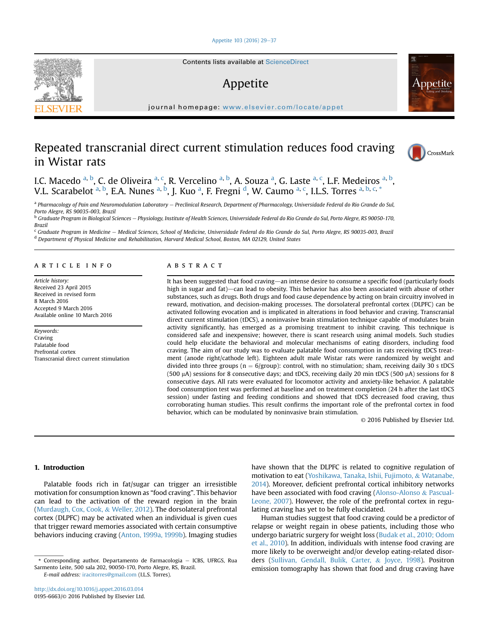#### [Appetite 103 \(2016\) 29](http://dx.doi.org/10.1016/j.appet.2016.03.014)-[37](http://dx.doi.org/10.1016/j.appet.2016.03.014)

# Appetite

journal homepage: <www.elsevier.com/locate/appet>

# Repeated transcranial direct current stimulation reduces food craving in Wistar rats



metite

I.C. Macedo <sup>a, b</sup>, C. de Oliveira <sup>a, c</sup>, R. Vercelino <sup>a, b</sup>, A. Souza <sup>a</sup>, G. Laste <sup>a, c</sup>, L.F. Medeiros <sup>a, b</sup>, V.L. Scarabelot <sup>a, b</sup>, E.A. Nunes <sup>a, b</sup>, J. Kuo <sup>a</sup>, F. Fregni <sup>d</sup>, W. Caumo <sup>a, c</sup>, I.L.S. Torres <sup>a, b, c, \*</sup>

a Pharmacology of Pain and Neuromodulation Laboratory - Preclinical Research, Department of Pharmacology, Universidade Federal do Rio Grande do Sul, Porto Alegre, RS 90035-003, Brazil

<sup>b</sup> Graduate Program in Biological Sciences - Physiology, Institute of Health Sciences, Universidade Federal do Rio Grande do Sul, Porto Alegre, RS 90050-170, Brazil

<sup>c</sup> Graduate Program in Medicine - Medical Sciences, School of Medicine, Universidade Federal do Rio Grande do Sul, Porto Alegre, RS 90035-003, Brazil <sup>d</sup> Department of Physical Medicine and Rehabilitation, Harvard Medical School, Boston, MA 02129, United States

#### article info

Article history: Received 23 April 2015 Received in revised form 8 March 2016 Accepted 9 March 2016 Available online 10 March 2016

Keywords: Craving Palatable food Prefrontal cortex Transcranial direct current stimulation

#### **ABSTRACT**

It has been suggested that food craving—an intense desire to consume a specific food (particularly foods high in sugar and fat)—can lead to obesity. This behavior has also been associated with abuse of other substances, such as drugs. Both drugs and food cause dependence by acting on brain circuitry involved in reward, motivation, and decision-making processes. The dorsolateral prefrontal cortex (DLPFC) can be activated following evocation and is implicated in alterations in food behavior and craving. Transcranial direct current stimulation (tDCS), a noninvasive brain stimulation technique capable of modulates brain activity significantly, has emerged as a promising treatment to inhibit craving. This technique is considered safe and inexpensive; however, there is scant research using animal models. Such studies could help elucidate the behavioral and molecular mechanisms of eating disorders, including food craving. The aim of our study was to evaluate palatable food consumption in rats receiving tDCS treatment (anode right/cathode left). Eighteen adult male Wistar rats were randomized by weight and divided into three groups ( $n = 6$ /group): control, with no stimulation; sham, receiving daily 30 s tDCS (500  $\mu$ A) sessions for 8 consecutive days; and tDCS, receiving daily 20 min tDCS (500  $\mu$ A) sessions for 8 consecutive days. All rats were evaluated for locomotor activity and anxiety-like behavior. A palatable food consumption test was performed at baseline and on treatment completion (24 h after the last tDCS session) under fasting and feeding conditions and showed that tDCS decreased food craving, thus corroborating human studies. This result confirms the important role of the prefrontal cortex in food behavior, which can be modulated by noninvasive brain stimulation.

© 2016 Published by Elsevier Ltd.

# 1. Introduction

Palatable foods rich in fat/sugar can trigger an irresistible motivation for consumption known as "food craving". This behavior can lead to the activation of the reward region in the brain (Murdaugh, Cox, Cook, & Weller, 2012). The dorsolateral prefrontal cortex (DLPFC) may be activated when an individual is given cues that trigger reward memories associated with certain consumptive behaviors inducing craving (Anton, 1999a, 1999b). Imaging studies

E-mail address: [iracitorres@gmail.com](mailto:iracitorres@gmail.com) (I.L.S. Torres).

have shown that the DLPFC is related to cognitive regulation of motivation to eat (Yoshikawa, Tanaka, Ishii, Fujimoto, & Watanabe, 2014). Moreover, deficient prefrontal cortical inhibitory networks have been associated with food craving (Alonso-Alonso & Pascual-Leone, 2007). However, the role of the prefrontal cortex in regulating craving has yet to be fully elucidated.

Human studies suggest that food craving could be a predictor of relapse or weight regain in obese patients, including those who undergo bariatric surgery for weight loss (Budak et al., 2010; Odom et al., 2010). In addition, individuals with intense food craving are more likely to be overweight and/or develop eating-related disorders (Sullivan, Gendall, Bulik, Carter, & Joyce, 1998). Positron emission tomography has shown that food and drug craving have



<sup>\*</sup> Corresponding author. Departamento de Farmacologia - ICBS, UFRGS, Rua Sarmento Leite, 500 sala 202, 90050-170, Porto Alegre, RS, Brazil.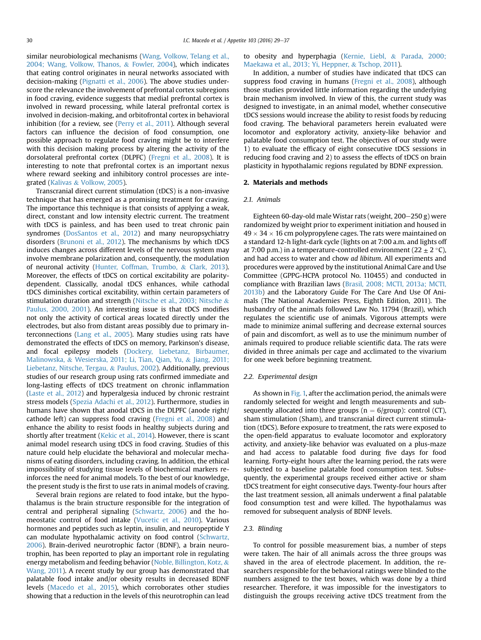similar neurobiological mechanisms (Wang, Volkow, Telang et al., 2004; Wang, Volkow, Thanos, & Fowler, 2004), which indicates that eating control originates in neural networks associated with decision-making (Pignatti et al., 2006). The above studies underscore the relevance the involvement of prefrontal cortex subregions in food craving, evidence suggests that medial prefrontal cortex is involved in reward processing, while lateral prefrontal cortex is involved in decision-making, and orbitofrontal cortex in behavioral inhibition (for a review, see (Perry et al., 2011). Although several factors can influence the decision of food consumption, one possible approach to regulate food craving might be to interfere with this decision making process by altering the activity of the dorsolateral prefrontal cortex (DLPFC) (Fregni et al., 2008). It is interesting to note that prefrontal cortex is an important nexus where reward seeking and inhibitory control processes are integrated (Kalivas & Volkow, 2005).

Transcranial direct current stimulation (tDCS) is a non-invasive technique that has emerged as a promising treatment for craving. The importance this technique is that consists of applying a weak, direct, constant and low intensity electric current. The treatment with tDCS is painless, and has been used to treat chronic pain syndromes (DosSantos et al., 2012) and many neuropsychiatry disorders (Brunoni et al., 2012). The mechanisms by which tDCS induces changes across different levels of the nervous system may involve membrane polarization and, consequently, the modulation of neuronal activity (Hunter, Coffman, Trumbo, & Clark, 2013). Moreover, the effects of tDCS on cortical excitability are polaritydependent. Classically, anodal tDCS enhances, while cathodal tDCS diminishes cortical excitability, within certain parameters of stimulation duration and strength (Nitsche et al., 2003; Nitsche & Paulus, 2000, 2001). An interesting issue is that tDCS modifies not only the activity of cortical areas located directly under the electrodes, but also from distant areas possibly due to primary interconnections (Lang et al., 2005). Many studies using rats have demonstrated the effects of tDCS on memory, Parkinson's disease, and focal epilepsy models (Dockery, Liebetanz, Birbaumer, Malinowska, & Wesierska, 2011; Li, Tian, Qian, Yu, & Jiang, 2011; Liebetanz, Nitsche, Tergau, & Paulus, 2002). Additionally, previous studies of our research group using rats confirmed immediate and long-lasting effects of tDCS treatment on chronic inflammation (Laste et al., 2012) and hyperalgesia induced by chronic restraint stress models (Spezia Adachi et al., 2012). Furthermore, studies in humans have shown that anodal tDCS in the DLPFC (anode right/ cathode left) can suppress food craving (Fregni et al., 2008) and enhance the ability to resist foods in healthy subjects during and shortly after treatment (Kekic et al., 2014). However, there is scant animal model research using tDCS in food craving. Studies of this nature could help elucidate the behavioral and molecular mechanisms of eating disorders, including craving. In addition, the ethical impossibility of studying tissue levels of biochemical markers reinforces the need for animal models. To the best of our knowledge, the present study is the first to use rats in animal models of craving.

Several brain regions are related to food intake, but the hypothalamus is the brain structure responsible for the integration of central and peripheral signaling (Schwartz, 2006) and the homeostatic control of food intake (Vucetic et al., 2010). Various hormones and peptides such as leptin, insulin, and neuropeptide Y can modulate hypothalamic activity on food control (Schwartz, 2006). Brain-derived neurotrophic factor (BDNF), a brain neurotrophin, has been reported to play an important role in regulating energy metabolism and feeding behavior (Noble, Billington, Kotz, & Wang, 2011). A recent study by our group has demonstrated that palatable food intake and/or obesity results in decreased BDNF levels (Macedo et al., 2015), which corroborates other studies showing that a reduction in the levels of this neurotrophin can lead

## to obesity and hyperphagia (Kernie, Liebl, & Parada, 2000; Maekawa et al., 2013; Yi, Heppner, & Tschop, 2011).

In addition, a number of studies have indicated that tDCS can suppress food craving in humans (Fregni et al., 2008), although those studies provided little information regarding the underlying brain mechanism involved. In view of this, the current study was designed to investigate, in an animal model, whether consecutive tDCS sessions would increase the ability to resist foods by reducing food craving. The behavioral parameters herein evaluated were locomotor and exploratory activity, anxiety-like behavior and palatable food consumption test. The objectives of our study were 1) to evaluate the efficacy of eight consecutive tDCS sessions in reducing food craving and 2) to assess the effects of tDCS on brain plasticity in hypothalamic regions regulated by BDNF expression.

## 2. Materials and methods

#### 2.1. Animals

Eighteen 60-day-old male Wistar rats (weight,  $200-250$  g) were randomized by weight prior to experiment initiation and housed in  $49 \times 34 \times 16$  cm polypropylene cages. The rats were maintained on a standard 12-h light-dark cycle (lights on at 7:00 a.m. and lights off at 7:00 p.m.) in a temperature-controlled environment (22  $\pm$  2 °C), and had access to water and chow ad libitum. All experiments and procedures were approved by the institutional Animal Care and Use Committee (GPPG-HCPA protocol No. 110455) and conducted in compliance with Brazilian laws (Brasil, 2008; MCTI, 2013a; MCTI, 2013b) and the Laboratory Guide For The Care And Use Of Animals (The National Academies Press, Eighth Edition, 2011). The husbandry of the animals followed Law No. 11794 (Brazil), which regulates the scientific use of animals. Vigorous attempts were made to minimize animal suffering and decrease external sources of pain and discomfort, as well as to use the minimum number of animals required to produce reliable scientific data. The rats were divided in three animals per cage and acclimated to the vivarium for one week before beginning treatment.

#### 2.2. Experimental design

As shown in Fig. 1, after the acclimation period, the animals were randomly selected for weight and length measurements and subsequently allocated into three groups ( $n = 6$ /group): control (CT), sham stimulation (Sham), and transcranial direct current stimulation (tDCS). Before exposure to treatment, the rats were exposed to the open-field apparatus to evaluate locomotor and exploratory activity, and anxiety-like behavior was evaluated on a plus-maze and had access to palatable food during five days for food learning. Forty-eight hours after the learning period, the rats were subjected to a baseline palatable food consumption test. Subsequently, the experimental groups received either active or sham tDCS treatment for eight consecutive days. Twenty-four hours after the last treatment session, all animals underwent a final palatable food consumption test and were killed. The hypothalamus was removed for subsequent analysis of BDNF levels.

## 2.3. Blinding

To control for possible measurement bias, a number of steps were taken. The hair of all animals across the three groups was shaved in the area of electrode placement. In addition, the researchers responsible for the behavioral ratings were blinded to the numbers assigned to the test boxes, which was done by a third researcher. Therefore, it was impossible for the investigators to distinguish the groups receiving active tDCS treatment from the